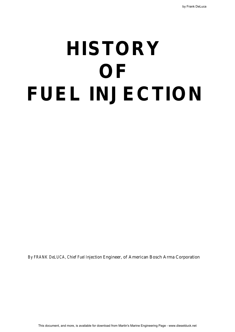# **HISTORY OF FUEL INJECTION**

By FRANK DeLUCA, Chief Fuel Injection Engineer, of American Bosch Arma Corporation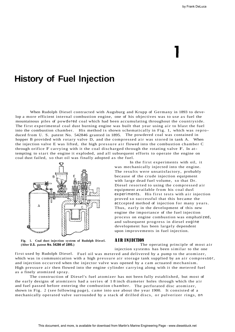## **History of Fuel Injection**

When Rudolph Diesel contracted with Augsburg and Krupp of Germany in 1893 to develop a more efficient internal combustion engine, one of his objectives was to use as fuel the mountainous piles of powdered coal which had been accumulating throughout the countryside. The first experimental coal dust burning engine was built that year using air to blast the fuel into the combustion chamber. His method is shown schematically in Fig. 1, which was reproduced from U. S. patent No. 542846 granted in 1895. The powdered coal was contained in hopper B provided with rotary valve D, and the compressed air was stored in tank A. When the injection valve E was lifted, the high pressure air flowed into the combustion chamber C through orifice F carrying with it the coal discharged through the rotating valve F. In attempting to start the engine it exploded, and all subsequent efforts to operate the engine on coal dust failed, so that oil was finally adopted as the fuel.



**Fig. 1. Coal dust injection system of Rudolph Diesel.** AIR INJ ECTION

In the first experiments with oil, it was mechanically injected into the engine. The results were unsatisfactory, probably because of the crude injection equipment with large dead fuel volume, so that Dr. Diesel resorted to using the compressed air equipment available from his coal dust experiments. His first tests with air injection proved so successful that this became the acccepted method of injection for many years. Thus, early in the development of this new engine the importance of the fuel injection process on engine combustion was emphasized, and subsequent progress in diesel engine development has been largely dependent upon improvements in fuel injection.

The operating principle of most air injection systems has been similar to the one

first used by Rudolph Diesel. Fuel oil was metered and delivered by a pump to the atomizer, which was in communication with a high pressure air storage tank supplied by an air compressor, and injection occurred when the injector valve was opened by a cam actuated mechanism. High pressure air then flowed into the engine cylinder carrying along with it the metered fuel as a finely atomized spray.

The construction of Diesel's fuel atomizer has not been fully established, but most of the early designs of atomizers had a series of 1 8 inch diameter holes through which the air and fuel passed before entering the combustion chamber. The perforated disc atomizer, shown in Fig. 2 (see following page), came into use about the year 1900. It consisted of a mechanically operated valve surrounded by a stack of drilled discs, or pulverizer rings, on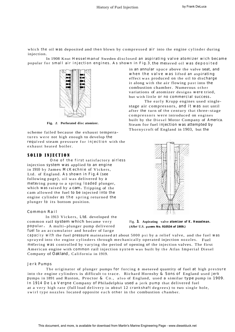which the oil was deposited and then blown by compressed air into the engine cylinder during injection.

In 1908 Knut Hesselman of Sweden disclosed an aspirating valve atomizer wich became popular for small air injection engines. As shown in Fig.3, the metered oil was deposited



**Fig.** *2.* **Perforated disc atomizer.**

scheme failed because the exhaust temperatures were not high enough to develop the required steam pressure for injection with the exhaust heated boiler.

## SOLID INJECTION

One of the first satisfactory airless injection system was applied to an engine in 1910 by James McKechnie of Vickers, Ltd. of England. As shown in Fig.4 (see following page), oil was delivered by a metering pump to a spring loaded plunger, which was raised by a cam**.** Tripping of the cam allowed the fuel to be injected into the engine cylinder as the spring returned the plunger to its bottom position.

#### Common Rail

In 1913 Vickers, Ltd. developed the common rail system which became very Fig. **3. Aspirating valve atomizer of K. Hesselman.** popular . <sup>A</sup> multi-plunger pump delivered **(Afte<sup>r</sup> U.S. patent No. 910534 of 1909.)** fuel to an accumulator and header of large

in an annular space above the valve seat, and when the valve was lifted an aspirating effect was produced on the oil to discharge it along with the air flowing past into the combustion chamber. Numerous other variations of atomizer designs were tried, but with little or no commercial success**.**

The early Krupp engines used singlestage air compressors, and it was not until after the turn of the century that three-stage compressors were introduced on engines built by the Diesel Motor Company of America. Steam for fuel injection was attempted by Thornycroft of England in 1903, but the



capacity with the fuel pressure maintained at about 5000 psi by a relief valve, and the fuel was sprayed into the engine cylinders through mechanically operated injection nozzles. Fuel metering was controlled by varying the period of opening of the injection valves. The first American engine with common rail injection system was built by the Atlas Imperial Diesel Company of Oakland, California in 1919.

#### Jerk Pumps

The originator of plunger pumps for forcing a metered quantity of fuel at high pressure into the engine cylinders is difficult to trace. Richard Hornsby & Sons of England used jerk pumps in 1891 and Ruston, Proctor & Co., also of England, used a similar type pump in 1909. In 1914 De La Vergne Company of Philadelphia used a jerk pump that delivered fuel at a very high rate (full load delivery in about 12 crankshaft degrees) to two single hole, swirl type nozzles located opposite each other in the combustion chamber.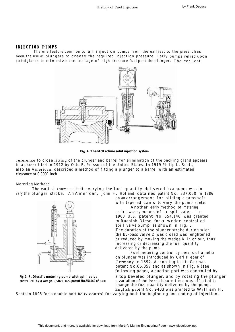## INJECTION PUMPS

The one feature common to all injection pumps from the earliest to the present has been the use of plungers to create the required injection pressure. Early pumps relied upon packed glands to minimize the leakage of high pressure fuel past the plunger. The earliest



**Fig. 4. The McKechnie solid injection system**

reference to close fitting of the plunger and barrel for elimination of the packing gland appears in a patent filed in 1912 by Otto F. Persson of the United States. In 1919 Philip L. Scott, also an American, described a method of fitting a plunger to a barrel with an estimated clearance of 0.0001 inch.

### Metering Methods

The earliest known method for varying the fuel quantity delivered by a pump was to vary the plunger stroke. An American, John F. Holland, obtained patent No. 337,000 in 1886

on an arrangement for sliding a camshaft with tapered cams to vary the pump stroke.

Another early method of metering control was by means of a spill valve. In 1900 U.S. patent No. 654,140 was granted to Rudolph Diesel for a wedge controlled spill valve pump as shown in Fig. 5. The duration of the plunger stroke during wich the by-pass valve D was closed was lenghtened or reduced by moving the wedge K in or out, thus increasing or decreasing the fuel quantity delivered by the pump.

Fuel metering control by means of a helix on plunger was introduced by Carl Pieper of Germany in 1892. According to his German patent No.66,057 and as shown in Fig. 6 (see following page), a suction port was controlled by

**Fig. 5. R . Diesel's metering pump with spill valve** a top beveled plunger, and by rotating the plunger **controlled by a wedge. (After U.S. patent No.654140 of 1900)** a variation of the Port closure time was effected to change the fuel quantity delivered by the pump. English patent No. 9403 was granted to William H.

Scott in 1895 for a double port helix control for varying both the beginning and ending of injection.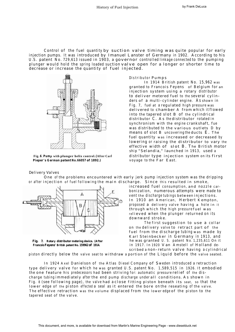Control of the fuel quantity by suction valve timing was quite popular for early injection pumps. It was introduced by Imanuel Lanster of Germany in 1902. According to his U.S. patent No. 729,613 issued in 1903, a governor controlled linkage connected to the pumping plunger would hold the spring loaded suction valve open for a longer or shorter time to decrease or increase the quantity of fuel injected.



**Pieper's German patent No. 66057 of 1892.)** voyage to the Far East.

#### Delivery Valves

#### Distributor Pumps

In 1914 British patent No. 15,962 was granted to Francois Feyens of Belgium for an injection system using a rotary distributor to deliver metered fuel to the several cylinders of a multi-cylinder engine. As shown in Fig. 7, fuel at a regulated high pressure was delivered to chamber A from which it flowed into the tapered slot B of the cylindrical distributor C. As the distributor rotated in synchronism with the engine crankshaft, fue was distributed to the various outlets D by means of slot B uncovering the ducts E. The fuel quantity was increased or decreased by lowering or raising the distributor to vary the effective width of slot B. The British motor ship "Selandia," launched in 1913, used a **Fig.<sup>6</sup>** *.* **Pum<sup>p</sup> with plunger helix control. (After Car<sup>l</sup>** distributor type injection system on its first

One of the problems encountered with early jerk pump injection system was the dripping or after injection of fuel following the main discharge. Since this resulted in smoke,



increased fuel consumption, and nozzle carbonization, numerous attempts were made to vent the discharge tubings between injections. In 1910 an American, Herbert Kempton, proposed a delivery valve having a hole in it through which the high pressure fuel was relieved when the plunger returned on its downward stroke.

The first suggestion to use a collar on the delivery valve to retract part of the fuel from the discharge tubing was made by Karl Steinbecker in Germany in 1913, and **Fig. 7. Rotary distributor metering device. (After** he was granted U. S. patent No. 1,235,611 On it **Francois Feyens' British patent No. <sup>159962</sup> of 1914.** in 1917. In 1920 Van Amstell of Holland described <sup>a</sup> non-return valve having <sup>a</sup> cylindrical

piston directly below the valve seat to withdraw a portion of the Liquid before the valve seated.

In 1924 Axel Danielson of the Atlas Diesel Company of Sweden introduced a retraction type delivery valve for which he was granted U.S. patent No. 1,589,515 in 1926. It embodied the one feature his predecessors had been striving for: automatic pressure relief of the discharge tubing immediately after the end pump discharge under all conditions. As shown in Fig. <sup>8</sup> (see following page), the valve had a close fitting piston beneath its seat, so that the lower edge of the piston effected a seal as it entered the bore on the reseating of the valve. The effective retraction was the volume displaced from the lower edge of the piston to the tapered seat of the valve.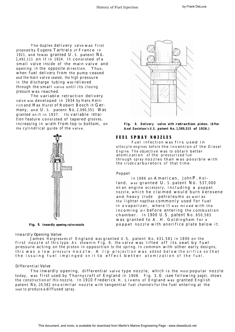The duplex delivery valve was first proposed by Eugene Tartrais of France in 1921, and he was granted U. S. patent No. 1,492,111 on it in 1924. It consisted of a small valve inside of the main valve and opening in the opposite direction. Thus, when fuel delivery from the pump ceased and the main valve seated, the high pressure in the discharge tubing was relieved through the small valve until its closing pressure was reached.

The variable retraction delivery valve was developed in 1934 by Hans Heinrich and Max Hurst of Robert Bosch in Germany, and U. S. patent No, 2,090,351 Was granted on it in 1937. Its variable retraction feature consisted of tapered grooves, increasing in width from top to bottom, on **Fig. 8. Delivery valve with retraction piston. (After** the cylindrical guide of the valve. **Axel Danielson's U.S. patent No. 1,589,515 of 1926.)**



**Fig. 9. Inwardly opening valve nozzle**

#### Inwardly Opening Valve

James Hargreaves of England was granted U.S, patent No, 431.581 in 1890 on the first nozzle of this type. As shownin Fig. 9, the valve was lifted off its seat by fuel pressure acting on the piston in opposition to the spring. In common with other early designs, this was a low pressure nozzle. A lip projection was added below the orifice so that the issuing fuel impinged on it to effect better atomization of the fuel.

#### Differential Valve

The inwardly opening, differential valve type nozzle, which is the most popular nozzle today, was first used by Thornycroft of England in 1908. Fig. 1.0 (see following page), shows the construction of this nozzle. In 1910 Frederick H. Livens of England was granted English patent No, 20,582 on a similar nozzle with tangential fuel channels for the fuel entering at the seat to produce a diffused spray.



#### FUEL SPRAY NOZZLES

Fuel infection was firs used in ottocyle engines before the invention of the Diesel Engine. The objective was to obtain better atomization of the pressurized fuel through spray nozzles than was possible with the crude carburetors of that time.

#### Poppet

In 1886 an American, John P. Holland, was granted U.S. patent No. 537,000 on an engine accessory, including a poppet nozzle, which he claimed would burn kerosene and heavy crude petroleums as well as the lighter napthas commonly used for fuel in a vaporizer, where It was mixed with the incoming air before entering the combustion chamber. In 1900 U.S. patent No. 650,583 was granted to A. H. Goldingham for a poppet nozzle with anorifice plate below it.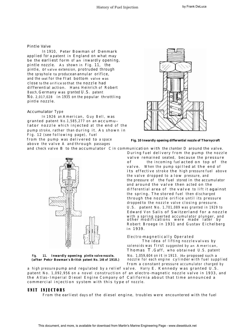#### Pintle Valve

In 1910, Peter Bowman of Denmark applied for a patent in England on what may be the earliest form of an inwardly opening, pintle nozzle. As shown in Fig. 11, the pintle, or valve extension, protruded through the spray hole to produce an annular orifice, and the seat for the flat bottom valve was close to the orifice so that the nozzle had differential action. Hans Heinrich of Robert Basch, Germany was granted U.S. patent No. 2,017,028 in 1935 on the popular throttling pintle nozzle.

#### Accumulator Type

In 1926 an American, Guy Bell, was granted patent No.1,585,277 on an accumulator nozzle which injected at the end of the pump stroke, rather than during it. As shown in Fig. 12 (see following page), fuel

from the pump was delivered to <sup>a</sup> space **Fig. 10 Inwardly opening differential nozzle of Thornycroft** above the valve A and through passages





and check valve B to the accumulator C in communication with the chamber D around the valve. During fuel delivery from the pump the nozzle valve remained seated, because the pressure of the incoming fuel acted on top of the valve. When the pump spilled at the end of its effective stroke the high pressure fuel above the valve dropped to a low pressure, and the pressure of the fuel stored in the accumulator and around the valve then acted on the differential area of the valve to lift it against the spring. The stored fuel then discharged through the nozzle orifice until its pressure dropped to the nozzle valve closing pressure. U.S. patent No. 1,701,089 was granted in 1929 to Edward Von Salis of Switzerland for a nozzle with <sup>a</sup> spring operted accumulator plunger, and other modifications were made later by Robert Broege in 1931 and Gustav Eichelberg in 1939.

#### . Electro-magnetically Operated

The idea of lifting nozzle valves by solenoids was first suggested by an American, Thomas T .Gaff, who obtained U.S. patent **Fig. 11. Inwardly opening pintle valve nozzle.** No. 1,059,604 on it in 1913. He proposed such a **(after Petcr Bowman's British patent No. <sup>146</sup> of 1910.)** nozzle for each engine cylinder with fuel supplied from a constant pressure accumulator charged by

a high pressure pump and regulated by a relief valve. Harry E. Kennedy was granted U.S. patent No. 1,092,956 on a novel construction of an electro-magnetic nozzle valve in 1933, and the Atlas-Imperial Diesel Engine Company of California about that time announced a commercial injection system with this type of nozzle.

#### UNIT INJECTORS

From the earliest days of the diesel engine, troubles were encountered with the fuel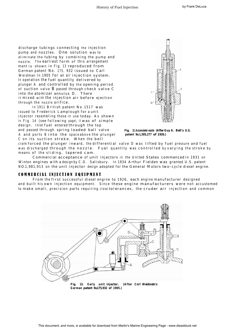discharge tubings connecting the injection pump and nozzles. One solution was to eliminate the tubing by combining the pump and nozzle. The earliest form of this arrangement ment is shown in Fig. 13 reproduced from German patent No. 175, 932 issued to Carl Weidman In 1905 for an air injection system. In operation the fuel quantity delivered by plunger A and controlled by the opening period of suction valve B passed through check valve C into the atomizer annulus D. There it mixed with the injection air before ejection through the nozzle orifice.

In 1911 British patent No. 1517 was issued to Frederick Lamplough for a unit injector resembling those in use today. As shown in Fig. 14 (see following page), it was of simple design. Inlet fuel entered through the top and passed through spring loaded ball valve **Fig. 12. Accumulator nozzle (AfterGuy A. Bell's U.S.** A and ports B into the space above the plunger **patent No.1,585,277 of 1926.)** C on its suction stroke. When the bell



crank forced the plunger inward, the differential valve D was lifted by fuel pressure and fuel was discharged through the nozzle. Fuel quantity was controlled by varying the stroke by means of the sliding, tapered cam.

Commercial acceptance of unit injectors in the United States commenced in 1931 on Winton engines with a design by C.D. Salisbury. In 1934 Arthur Fielden was granted U.S. patent NO.1,981,913 on the unit injector design adopted for the General Motors two-cycle diesel engine.

### COMMERClAL INJECTION EQUIPMENT

From the first successful diesel engine to 1926, each engine manufacturer designed and built his own injection equipment. Since these engine manufacturers were not accustomed to make small, precision parts requiring close tolerances, the cruder air injection and common



**Fig. 13. Early unit injector. (After Cnrl Weidmstn's German patent No.175,932 of 1905.)**